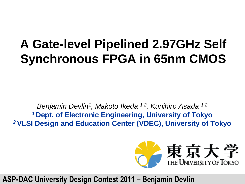#### **A Gate-level Pipelined 2.97GHz Self Synchronous FPGA in 65nm CMOS**

*Benjamin Devlin<sup>1</sup> , Makoto Ikeda 1,2, Kunihiro Asada 1,2 <sup>1</sup>***Dept. of Electronic Engineering, University of Tokyo** *<sup>2</sup>***VLSI Design and Education Center (VDEC), University of Tokyo**



#### **ASP-DAC University Design Contest 2011 – Benjamin Devlin**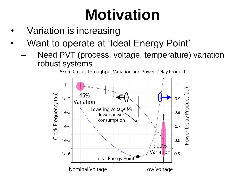# **Motivation**

- Variation is increasing
- Want to operate at 'Ideal Energy Point'
	- Need PVT (process, voltage, temperature) variation robust systems

65nm Circuit Throughput Variation and Power-Delay Product

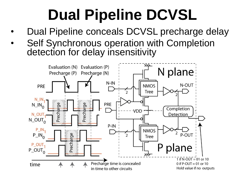# **Dual Pipeline DCVSL**

- Dual Pipeline conceals DCVSL precharge delay
- Self Synchronous operation with Completion detection for delay insensitivity

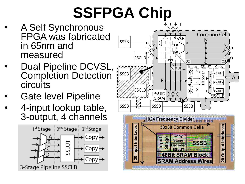# **SSFPGA Chip**

- A Self Synchronous FPGA was fabricated in 65nm and measured
- Dual Pipeline DCVSL, Completion Detection circuits
- Gate level Pipeline
- 4-input lookup table, 3-output, 4 channels



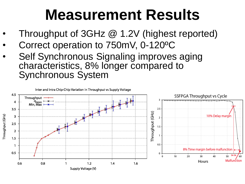### **Measurement Results**

- Throughput of 3GHz @ 1.2V (highest reported)
- Correct operation to 750mV, 0-120ºC
- Self Synchronous Signaling improves aging characteristics, 8% longer compared to Synchronous System